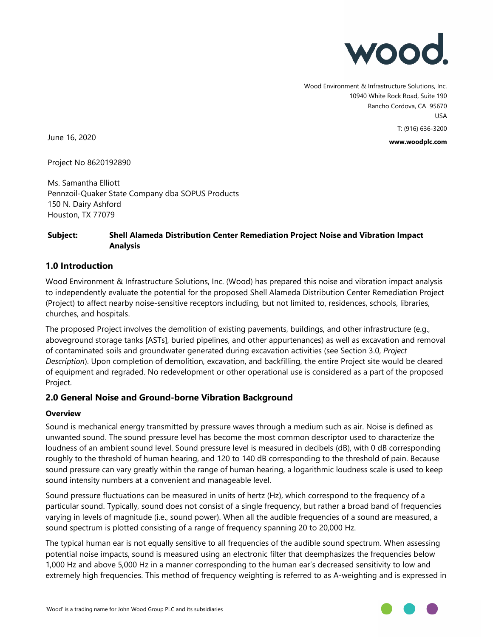

Wood Environment & Infrastructure Solutions, Inc. 10940 White Rock Road, Suite 190 Rancho Cordova, CA 95670 USA T: (916) 636-3200

**www.woodplc.com**

June 16, 2020

Project No 8620192890

Ms. Samantha Elliott Pennzoil-Quaker State Company dba SOPUS Products 150 N. Dairy Ashford Houston, TX 77079

### **Subject: Shell Alameda Distribution Center Remediation Project Noise and Vibration Impact Analysis**

## **1.0 Introduction**

Wood Environment & Infrastructure Solutions, Inc. (Wood) has prepared this noise and vibration impact analysis to independently evaluate the potential for the proposed Shell Alameda Distribution Center Remediation Project (Project) to affect nearby noise-sensitive receptors including, but not limited to, residences, schools, libraries, churches, and hospitals.

The proposed Project involves the demolition of existing pavements, buildings, and other infrastructure (e.g., aboveground storage tanks [ASTs], buried pipelines, and other appurtenances) as well as excavation and removal of contaminated soils and groundwater generated during excavation activities (see Section 3.0, *Project Description*). Upon completion of demolition, excavation, and backfilling, the entire Project site would be cleared of equipment and regraded. No redevelopment or other operational use is considered as a part of the proposed Project.

## **2.0 General Noise and Ground-borne Vibration Background**

#### **Overview**

Sound is mechanical energy transmitted by pressure waves through a medium such as air. Noise is defined as unwanted sound. The sound pressure level has become the most common descriptor used to characterize the loudness of an ambient sound level. Sound pressure level is measured in decibels (dB), with 0 dB corresponding roughly to the threshold of human hearing, and 120 to 140 dB corresponding to the threshold of pain. Because sound pressure can vary greatly within the range of human hearing, a logarithmic loudness scale is used to keep sound intensity numbers at a convenient and manageable level.

Sound pressure fluctuations can be measured in units of hertz (Hz), which correspond to the frequency of a particular sound. Typically, sound does not consist of a single frequency, but rather a broad band of frequencies varying in levels of magnitude (i.e., sound power). When all the audible frequencies of a sound are measured, a sound spectrum is plotted consisting of a range of frequency spanning 20 to 20,000 Hz.

The typical human ear is not equally sensitive to all frequencies of the audible sound spectrum. When assessing potential noise impacts, sound is measured using an electronic filter that deemphasizes the frequencies below 1,000 Hz and above 5,000 Hz in a manner corresponding to the human ear's decreased sensitivity to low and extremely high frequencies. This method of frequency weighting is referred to as A-weighting and is expressed in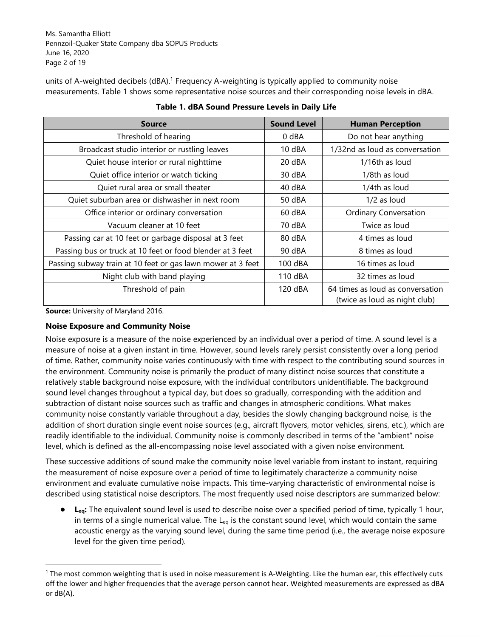Ms. Samantha Elliott Pennzoil-Quaker State Company dba SOPUS Products June 16, 2020 Page 2 of 19

units of A-weighted decibels (dBA).<sup>1</sup> Frequency A-weighting is typically applied to community noise measurements. Table 1 shows some representative noise sources and their corresponding noise levels in dBA.

| <b>Source</b>                                               | <b>Sound Level</b> | <b>Human Perception</b>                                           |
|-------------------------------------------------------------|--------------------|-------------------------------------------------------------------|
| Threshold of hearing                                        | $0$ dBA            | Do not hear anything                                              |
| Broadcast studio interior or rustling leaves                | 10 dBA             | 1/32nd as loud as conversation                                    |
| Quiet house interior or rural nighttime                     | 20 dBA             | 1/16th as loud                                                    |
| Quiet office interior or watch ticking                      | 30 dBA             | 1/8th as loud                                                     |
| Quiet rural area or small theater                           | 40 dBA             | 1/4th as loud                                                     |
| Quiet suburban area or dishwasher in next room              | 50 dBA             | $1/2$ as loud                                                     |
| Office interior or ordinary conversation                    | 60 dBA             | <b>Ordinary Conversation</b>                                      |
| Vacuum cleaner at 10 feet                                   | 70 dBA             | Twice as loud                                                     |
| Passing car at 10 feet or garbage disposal at 3 feet        | 80 dBA             | 4 times as loud                                                   |
| Passing bus or truck at 10 feet or food blender at 3 feet   | 90 dBA             | 8 times as loud                                                   |
| Passing subway train at 10 feet or gas lawn mower at 3 feet | 100 dBA            | 16 times as loud                                                  |
| Night club with band playing                                | 110 dBA            | 32 times as loud                                                  |
| Threshold of pain                                           | 120 dBA            | 64 times as loud as conversation<br>(twice as loud as night club) |

**Table 1. dBA Sound Pressure Levels in Daily Life** 

**Source:** University of Maryland 2016.

## **Noise Exposure and Community Noise**

Noise exposure is a measure of the noise experienced by an individual over a period of time. A sound level is a measure of noise at a given instant in time. However, sound levels rarely persist consistently over a long period of time. Rather, community noise varies continuously with time with respect to the contributing sound sources in the environment. Community noise is primarily the product of many distinct noise sources that constitute a relatively stable background noise exposure, with the individual contributors unidentifiable. The background sound level changes throughout a typical day, but does so gradually, corresponding with the addition and subtraction of distant noise sources such as traffic and changes in atmospheric conditions. What makes community noise constantly variable throughout a day, besides the slowly changing background noise, is the addition of short duration single event noise sources (e.g., aircraft flyovers, motor vehicles, sirens, etc.), which are readily identifiable to the individual. Community noise is commonly described in terms of the "ambient" noise level, which is defined as the all-encompassing noise level associated with a given noise environment.

These successive additions of sound make the community noise level variable from instant to instant, requiring the measurement of noise exposure over a period of time to legitimately characterize a community noise environment and evaluate cumulative noise impacts. This time-varying characteristic of environmental noise is described using statistical noise descriptors. The most frequently used noise descriptors are summarized below:

● **Leq:** The equivalent sound level is used to describe noise over a specified period of time, typically 1 hour, in terms of a single numerical value. The  $L_{eq}$  is the constant sound level, which would contain the same acoustic energy as the varying sound level, during the same time period (i.e., the average noise exposure level for the given time period).

 $1$  The most common weighting that is used in noise measurement is A-Weighting. Like the human ear, this effectively cuts off the lower and higher frequencies that the average person cannot hear. Weighted measurements are expressed as dBA or dB(A).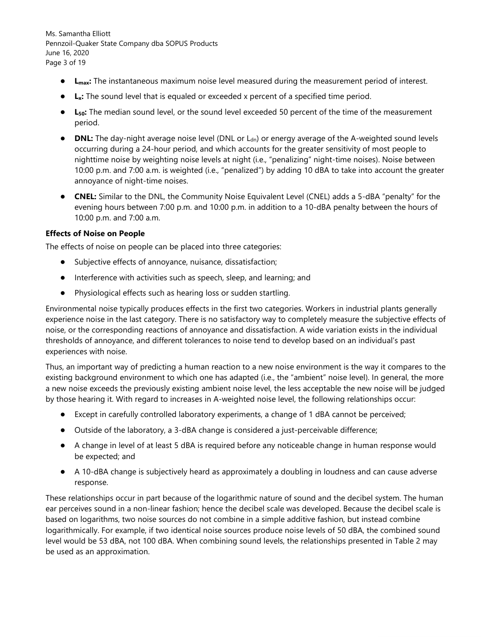Ms. Samantha Elliott Pennzoil-Quaker State Company dba SOPUS Products June 16, 2020 Page 3 of 19

- **Lmax:** The instantaneous maximum noise level measured during the measurement period of interest.
- **Lx:** The sound level that is equaled or exceeded x percent of a specified time period.
- **L50:** The median sound level, or the sound level exceeded 50 percent of the time of the measurement period.
- **DNL:** The day-night average noise level (DNL or L<sub>dn</sub>) or energy average of the A-weighted sound levels occurring during a 24-hour period, and which accounts for the greater sensitivity of most people to nighttime noise by weighting noise levels at night (i.e., "penalizing" night-time noises). Noise between 10:00 p.m. and 7:00 a.m. is weighted (i.e., "penalized") by adding 10 dBA to take into account the greater annoyance of night-time noises.
- **CNEL:** Similar to the DNL, the Community Noise Equivalent Level (CNEL) adds a 5-dBA "penalty" for the evening hours between 7:00 p.m. and 10:00 p.m. in addition to a 10-dBA penalty between the hours of 10:00 p.m. and 7:00 a.m.

#### **Effects of Noise on People**

The effects of noise on people can be placed into three categories:

- Subjective effects of annoyance, nuisance, dissatisfaction;
- Interference with activities such as speech, sleep, and learning; and
- Physiological effects such as hearing loss or sudden startling.

Environmental noise typically produces effects in the first two categories. Workers in industrial plants generally experience noise in the last category. There is no satisfactory way to completely measure the subjective effects of noise, or the corresponding reactions of annoyance and dissatisfaction. A wide variation exists in the individual thresholds of annoyance, and different tolerances to noise tend to develop based on an individual's past experiences with noise.

Thus, an important way of predicting a human reaction to a new noise environment is the way it compares to the existing background environment to which one has adapted (i.e., the "ambient" noise level). In general, the more a new noise exceeds the previously existing ambient noise level, the less acceptable the new noise will be judged by those hearing it. With regard to increases in A-weighted noise level, the following relationships occur:

- Except in carefully controlled laboratory experiments, a change of 1 dBA cannot be perceived;
- Outside of the laboratory, a 3-dBA change is considered a just-perceivable difference;
- A change in level of at least 5 dBA is required before any noticeable change in human response would be expected; and
- A 10-dBA change is subjectively heard as approximately a doubling in loudness and can cause adverse response.

These relationships occur in part because of the logarithmic nature of sound and the decibel system. The human ear perceives sound in a non-linear fashion; hence the decibel scale was developed. Because the decibel scale is based on logarithms, two noise sources do not combine in a simple additive fashion, but instead combine logarithmically. For example, if two identical noise sources produce noise levels of 50 dBA, the combined sound level would be 53 dBA, not 100 dBA. When combining sound levels, the relationships presented in Table 2 may be used as an approximation.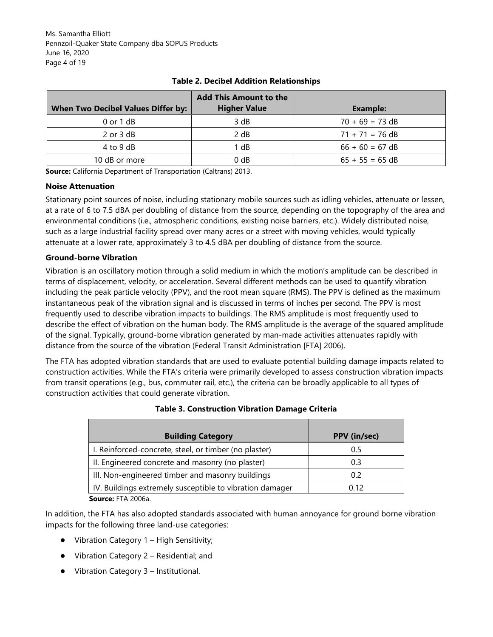Ms. Samantha Elliott Pennzoil-Quaker State Company dba SOPUS Products June 16, 2020 Page 4 of 19

|                                           | <b>Add This Amount to the</b> |                   |
|-------------------------------------------|-------------------------------|-------------------|
| <b>When Two Decibel Values Differ by:</b> | <b>Higher Value</b>           | Example:          |
| $0$ or $1$ dB                             | 3 dB                          | $70 + 69 = 73$ dB |
| $2$ or $3$ dB                             | 2 dB                          | $71 + 71 = 76$ dB |
| 4 to 9 dB                                 | 1 dB                          | $66 + 60 = 67$ dB |
| 10 dB or more                             | 0 dB                          | $65 + 55 = 65$ dB |

## **Table 2. Decibel Addition Relationships**

**Source:** California Department of Transportation (Caltrans) 2013.

#### **Noise Attenuation**

Stationary point sources of noise, including stationary mobile sources such as idling vehicles, attenuate or lessen, at a rate of 6 to 7.5 dBA per doubling of distance from the source, depending on the topography of the area and environmental conditions (i.e., atmospheric conditions, existing noise barriers, etc.). Widely distributed noise, such as a large industrial facility spread over many acres or a street with moving vehicles, would typically attenuate at a lower rate, approximately 3 to 4.5 dBA per doubling of distance from the source.

#### **Ground-borne Vibration**

Vibration is an oscillatory motion through a solid medium in which the motion's amplitude can be described in terms of displacement, velocity, or acceleration. Several different methods can be used to quantify vibration including the peak particle velocity (PPV), and the root mean square (RMS). The PPV is defined as the maximum instantaneous peak of the vibration signal and is discussed in terms of inches per second. The PPV is most frequently used to describe vibration impacts to buildings. The RMS amplitude is most frequently used to describe the effect of vibration on the human body. The RMS amplitude is the average of the squared amplitude of the signal. Typically, ground-borne vibration generated by man-made activities attenuates rapidly with distance from the source of the vibration (Federal Transit Administration [FTA] 2006).

The FTA has adopted vibration standards that are used to evaluate potential building damage impacts related to construction activities. While the FTA's criteria were primarily developed to assess construction vibration impacts from transit operations (e.g., bus, commuter rail, etc.), the criteria can be broadly applicable to all types of construction activities that could generate vibration.

| <b>Building Category</b>                                                                                                                                                                                                                                                                                                                  | <b>PPV</b> (in/sec) |
|-------------------------------------------------------------------------------------------------------------------------------------------------------------------------------------------------------------------------------------------------------------------------------------------------------------------------------------------|---------------------|
| I. Reinforced-concrete, steel, or timber (no plaster)                                                                                                                                                                                                                                                                                     | 0.5                 |
| II. Engineered concrete and masonry (no plaster)                                                                                                                                                                                                                                                                                          | 0.3                 |
| III. Non-engineered timber and masonry buildings                                                                                                                                                                                                                                                                                          | 0.2                 |
| IV. Buildings extremely susceptible to vibration damager                                                                                                                                                                                                                                                                                  | 0.12                |
| $\mathbf{r}$ , $\mathbf{r}$ , $\mathbf{r}$ , $\mathbf{r}$ , $\mathbf{r}$ , $\mathbf{r}$ , $\mathbf{r}$ , $\mathbf{r}$ , $\mathbf{r}$ , $\mathbf{r}$ , $\mathbf{r}$ , $\mathbf{r}$ , $\mathbf{r}$ , $\mathbf{r}$ , $\mathbf{r}$ , $\mathbf{r}$ , $\mathbf{r}$ , $\mathbf{r}$ , $\mathbf{r}$ , $\mathbf{r}$ , $\mathbf{r}$ , $\mathbf{r}$ , |                     |

#### **Table 3. Construction Vibration Damage Criteria**

 **Source:** FTA 2006a.

In addition, the FTA has also adopted standards associated with human annoyance for ground borne vibration impacts for the following three land-use categories:

- Vibration Category 1 High Sensitivity;
- Vibration Category 2 Residential; and
- Vibration Category 3 Institutional.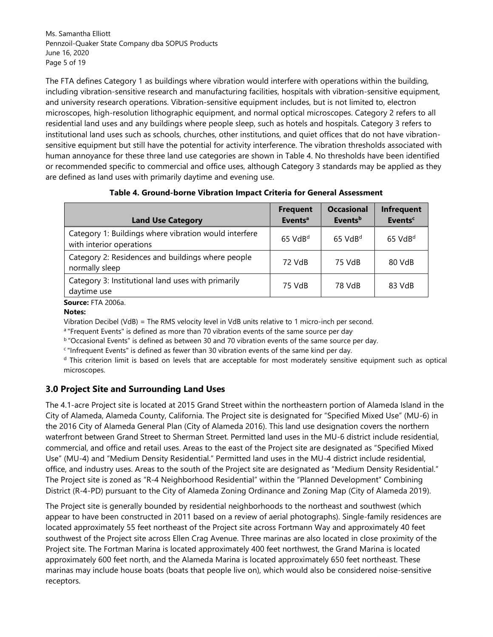Ms. Samantha Elliott Pennzoil-Quaker State Company dba SOPUS Products June 16, 2020 Page 5 of 19

The FTA defines Category 1 as buildings where vibration would interfere with operations within the building, including vibration-sensitive research and manufacturing facilities, hospitals with vibration-sensitive equipment, and university research operations. Vibration-sensitive equipment includes, but is not limited to, electron microscopes, high-resolution lithographic equipment, and normal optical microscopes. Category 2 refers to all residential land uses and any buildings where people sleep, such as hotels and hospitals. Category 3 refers to institutional land uses such as schools, churches, other institutions, and quiet offices that do not have vibrationsensitive equipment but still have the potential for activity interference. The vibration thresholds associated with human annoyance for these three land use categories are shown in Table 4. No thresholds have been identified or recommended specific to commercial and office uses, although Category 3 standards may be applied as they are defined as land uses with primarily daytime and evening use.

| <b>Land Use Category</b>                                                          | <b>Frequent</b><br>Events <sup>a</sup> | <b>Occasional</b><br><b>Events</b> <sup>b</sup> | Infrequent<br><b>Events<sup>c</sup></b> |
|-----------------------------------------------------------------------------------|----------------------------------------|-------------------------------------------------|-----------------------------------------|
| Category 1: Buildings where vibration would interfere<br>with interior operations | $65$ VdB <sup>d</sup>                  | $65$ VdB <sup>d</sup>                           | $65$ VdB <sup>d</sup>                   |
| Category 2: Residences and buildings where people<br>normally sleep               | 72 VdB                                 | 75 VdB                                          | 80 VdB                                  |
| Category 3: Institutional land uses with primarily<br>daytime use                 | 75 VdB                                 | 78 VdB                                          | 83 VdB                                  |

## **Table 4. Ground-borne Vibration Impact Criteria for General Assessment**

 **Source:** FTA 2006a.

#### **Notes:**

Vibration Decibel (VdB) = The RMS velocity level in VdB units relative to 1 micro-inch per second.

a "Frequent Events" is defined as more than 70 vibration events of the same source per day.

b "Occasional Events" is defined as between 30 and 70 vibration events of the same source per day.

<sup>c</sup>"Infrequent Events" is defined as fewer than 30 vibration events of the same kind per day.

<sup>d</sup> This criterion limit is based on levels that are acceptable for most moderately sensitive equipment such as optical microscopes.

## **3.0 Project Site and Surrounding Land Uses**

The 4.1-acre Project site is located at 2015 Grand Street within the northeastern portion of Alameda Island in the City of Alameda, Alameda County, California. The Project site is designated for "Specified Mixed Use" (MU-6) in the 2016 City of Alameda General Plan (City of Alameda 2016). This land use designation covers the northern waterfront between Grand Street to Sherman Street. Permitted land uses in the MU-6 district include residential, commercial, and office and retail uses. Areas to the east of the Project site are designated as "Specified Mixed Use" (MU-4) and "Medium Density Residential." Permitted land uses in the MU-4 district include residential, office, and industry uses. Areas to the south of the Project site are designated as "Medium Density Residential." The Project site is zoned as "R-4 Neighborhood Residential" within the "Planned Development" Combining District (R-4-PD) pursuant to the City of Alameda Zoning Ordinance and Zoning Map (City of Alameda 2019).

The Project site is generally bounded by residential neighborhoods to the northeast and southwest (which appear to have been constructed in 2011 based on a review of aerial photographs). Single-family residences are located approximately 55 feet northeast of the Project site across Fortmann Way and approximately 40 feet southwest of the Project site across Ellen Crag Avenue. Three marinas are also located in close proximity of the Project site. The Fortman Marina is located approximately 400 feet northwest, the Grand Marina is located approximately 600 feet north, and the Alameda Marina is located approximately 650 feet northeast. These marinas may include house boats (boats that people live on), which would also be considered noise-sensitive receptors.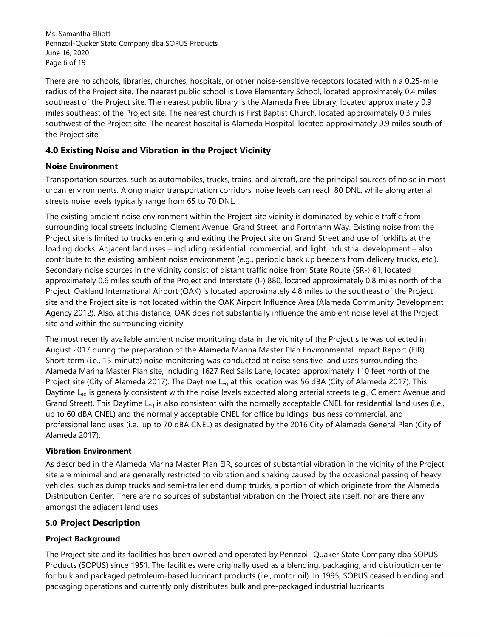Ms. Samantha Elliott Pennzoil-Quaker State Company dba SOPUS Products June 16, 2020 Page 6 of 19

There are no schools, libraries, churches, hospitals, or other noise-sensitive receptors located within a 0.25-mile radius of the Project site. The nearest public school is Love Elementary School, located approximately 0.4 miles southeast of the Project site. The nearest public library is the Alameda Free Library, located approximately 0.9 miles southeast of the Project site. The nearest church is First Baptist Church, located approximately 0.3 miles southwest of the Project site. The nearest hospital is Alameda Hospital, located approximately 0.9 miles south of the Project site.

# **4.0 Existing Noise and Vibration in the Project Vicinity**

### **Noise Environment**

Transportation sources, such as automobiles, trucks, trains, and aircraft, are the principal sources of noise in most urban environments. Along major transportation corridors, noise levels can reach 80 DNL, while along arterial streets noise levels typically range from 65 to 70 DNL.

The existing ambient noise environment within the Project site vicinity is dominated by vehicle traffic from surrounding local streets including Clement Avenue, Grand Street, and Fortmann Way. Existing noise from the Project site is limited to trucks entering and exiting the Project site on Grand Street and use of forklifts at the loading docks. Adjacent land uses – including residential, commercial, and light industrial development – also contribute to the existing ambient noise environment (e.g., periodic back up beepers from delivery trucks, etc.). Secondary noise sources in the vicinity consist of distant traffic noise from State Route (SR-) 61, located approximately 0.6 miles south of the Project and Interstate (I-) 880, located approximately 0.8 miles north of the Project. Oakland International Airport (OAK) is located approximately 4.8 miles to the southeast of the Project site and the Project site is not located within the OAK Airport Influence Area (Alameda Community Development Agency 2012). Also, at this distance, OAK does not substantially influence the ambient noise level at the Project site and within the surrounding vicinity.

The most recently available ambient noise monitoring data in the vicinity of the Project site was collected in August 2017 during the preparation of the Alameda Marina Master Plan Environmental Impact Report (EIR). Short-term (i.e., 15-minute) noise monitoring was conducted at noise sensitive land uses surrounding the Alameda Marina Master Plan site, including 1627 Red Sails Lane, located approximately 110 feet north of the Project site (City of Alameda 2017). The Daytime  $L_{eq}$  at this location was 56 dBA (City of Alameda 2017). This Daytime  $L_{eq}$  is generally consistent with the noise levels expected along arterial streets (e.g., Clement Avenue and Grand Street). This Daytime L<sub>eg</sub> is also consistent with the normally acceptable CNEL for residential land uses (i.e., up to 60 dBA CNEL) and the normally acceptable CNEL for office buildings, business commercial, and professional land uses (i.e., up to 70 dBA CNEL) as designated by the 2016 City of Alameda General Plan (City of Alameda 2017).

### **Vibration Environment**

As described in the Alameda Marina Master Plan EIR, sources of substantial vibration in the vicinity of the Project site are minimal and are generally restricted to vibration and shaking caused by the occasional passing of heavy vehicles, such as dump trucks and semi-trailer end dump trucks, a portion of which originate from the Alameda Distribution Center. There are no sources of substantial vibration on the Project site itself, nor are there any amongst the adjacent land uses.

## **5.0 Project Description**

## **Project Background**

The Project site and its facilities has been owned and operated by Pennzoil-Quaker State Company dba SOPUS Products (SOPUS) since 1951. The facilities were originally used as a blending, packaging, and distribution center for bulk and packaged petroleum-based lubricant products (i.e., motor oil). In 1995, SOPUS ceased blending and packaging operations and currently only distributes bulk and pre-packaged industrial lubricants.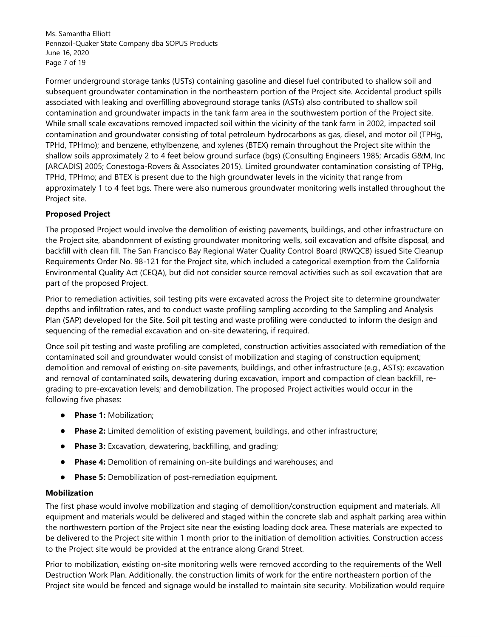Ms. Samantha Elliott Pennzoil-Quaker State Company dba SOPUS Products June 16, 2020 Page 7 of 19

Former underground storage tanks (USTs) containing gasoline and diesel fuel contributed to shallow soil and subsequent groundwater contamination in the northeastern portion of the Project site. Accidental product spills associated with leaking and overfilling aboveground storage tanks (ASTs) also contributed to shallow soil contamination and groundwater impacts in the tank farm area in the southwestern portion of the Project site. While small scale excavations removed impacted soil within the vicinity of the tank farm in 2002, impacted soil contamination and groundwater consisting of total petroleum hydrocarbons as gas, diesel, and motor oil (TPHg, TPHd, TPHmo); and benzene, ethylbenzene, and xylenes (BTEX) remain throughout the Project site within the shallow soils approximately 2 to 4 feet below ground surface (bgs) (Consulting Engineers 1985; Arcadis G&M, Inc [ARCADIS] 2005; Conestoga-Rovers & Associates 2015). Limited groundwater contamination consisting of TPHg, TPHd, TPHmo; and BTEX is present due to the high groundwater levels in the vicinity that range from approximately 1 to 4 feet bgs. There were also numerous groundwater monitoring wells installed throughout the Project site.

## **Proposed Project**

The proposed Project would involve the demolition of existing pavements, buildings, and other infrastructure on the Project site, abandonment of existing groundwater monitoring wells, soil excavation and offsite disposal, and backfill with clean fill. The San Francisco Bay Regional Water Quality Control Board (RWQCB) issued Site Cleanup Requirements Order No. 98-121 for the Project site, which included a categorical exemption from the California Environmental Quality Act (CEQA), but did not consider source removal activities such as soil excavation that are part of the proposed Project.

Prior to remediation activities, soil testing pits were excavated across the Project site to determine groundwater depths and infiltration rates, and to conduct waste profiling sampling according to the Sampling and Analysis Plan (SAP) developed for the Site. Soil pit testing and waste profiling were conducted to inform the design and sequencing of the remedial excavation and on-site dewatering, if required.

Once soil pit testing and waste profiling are completed, construction activities associated with remediation of the contaminated soil and groundwater would consist of mobilization and staging of construction equipment; demolition and removal of existing on-site pavements, buildings, and other infrastructure (e.g., ASTs); excavation and removal of contaminated soils, dewatering during excavation, import and compaction of clean backfill, regrading to pre-excavation levels; and demobilization. The proposed Project activities would occur in the following five phases:

- **Phase 1:** Mobilization;
- **Phase 2:** Limited demolition of existing pavement, buildings, and other infrastructure;
- **Phase 3:** Excavation, dewatering, backfilling, and grading;
- **Phase 4:** Demolition of remaining on-site buildings and warehouses; and
- **Phase 5:** Demobilization of post-remediation equipment.

#### **Mobilization**

The first phase would involve mobilization and staging of demolition/construction equipment and materials. All equipment and materials would be delivered and staged within the concrete slab and asphalt parking area within the northwestern portion of the Project site near the existing loading dock area. These materials are expected to be delivered to the Project site within 1 month prior to the initiation of demolition activities. Construction access to the Project site would be provided at the entrance along Grand Street.

Prior to mobilization, existing on-site monitoring wells were removed according to the requirements of the Well Destruction Work Plan. Additionally, the construction limits of work for the entire northeastern portion of the Project site would be fenced and signage would be installed to maintain site security. Mobilization would require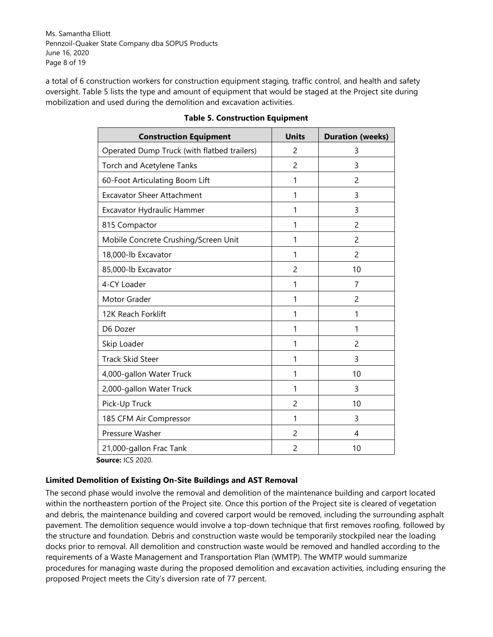Ms. Samantha Elliott Pennzoil-Quaker State Company dba SOPUS Products June 16, 2020 Page 8 of 19

a total of 6 construction workers for construction equipment staging, traffic control, and health and safety oversight. Table 5 lists the type and amount of equipment that would be staged at the Project site during mobilization and used during the demolition and excavation activities.

| <b>Construction Equipment</b>               | <b>Units</b>   | <b>Duration (weeks)</b> |
|---------------------------------------------|----------------|-------------------------|
| Operated Dump Truck (with flatbed trailers) | 2              | 3                       |
| Torch and Acetylene Tanks                   | $\overline{2}$ | 3                       |
| 60-Foot Articulating Boom Lift              | 1              | 2                       |
| <b>Excavator Sheer Attachment</b>           | 1              | 3                       |
| Excavator Hydraulic Hammer                  | 1              | 3                       |
| 815 Compactor                               | 1              | 2                       |
| Mobile Concrete Crushing/Screen Unit        | 1              | 2                       |
| 18,000-lb Excavator                         | 1              | 2                       |
| 85,000-lb Excavator                         | $\overline{2}$ | 10                      |
| 4-CY Loader                                 | 1              | 7                       |
| Motor Grader                                | 1              | 2                       |
| 12K Reach Forklift                          | 1              | 1                       |
| D6 Dozer                                    | 1              | 1                       |
| Skip Loader                                 | 1              | 2                       |
| <b>Track Skid Steer</b>                     | 1              | 3                       |
| 4,000-gallon Water Truck                    | 1              | 10                      |
| 2,000-gallon Water Truck                    | 1              | 3                       |
| Pick-Up Truck                               | 2              | 10                      |
| 185 CFM Air Compressor                      | 1              | 3                       |
| Pressure Washer                             | 2              | 4                       |
| 21,000-gallon Frac Tank<br>$\sim$ 100.300   | 2              | 10                      |

### **Table 5. Construction Equipment**

 **Source:** ICS 2020.

## **Limited Demolition of Existing On-Site Buildings and AST Removal**

The second phase would involve the removal and demolition of the maintenance building and carport located within the northeastern portion of the Project site. Once this portion of the Project site is cleared of vegetation and debris, the maintenance building and covered carport would be removed, including the surrounding asphalt pavement. The demolition sequence would involve a top-down technique that first removes roofing, followed by the structure and foundation. Debris and construction waste would be temporarily stockpiled near the loading docks prior to removal. All demolition and construction waste would be removed and handled according to the requirements of a Waste Management and Transportation Plan (WMTP). The WMTP would summarize procedures for managing waste during the proposed demolition and excavation activities, including ensuring the proposed Project meets the City's diversion rate of 77 percent.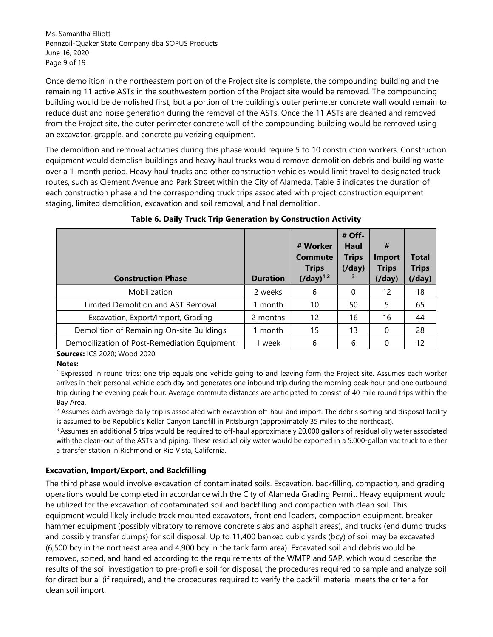Ms. Samantha Elliott Pennzoil-Quaker State Company dba SOPUS Products June 16, 2020 Page 9 of 19

Once demolition in the northeastern portion of the Project site is complete, the compounding building and the remaining 11 active ASTs in the southwestern portion of the Project site would be removed. The compounding building would be demolished first, but a portion of the building's outer perimeter concrete wall would remain to reduce dust and noise generation during the removal of the ASTs. Once the 11 ASTs are cleaned and removed from the Project site, the outer perimeter concrete wall of the compounding building would be removed using an excavator, grapple, and concrete pulverizing equipment.

The demolition and removal activities during this phase would require 5 to 10 construction workers. Construction equipment would demolish buildings and heavy haul trucks would remove demolition debris and building waste over a 1-month period. Heavy haul trucks and other construction vehicles would limit travel to designated truck routes, such as Clement Avenue and Park Street within the City of Alameda. Table 6 indicates the duration of each construction phase and the corresponding truck trips associated with project construction equipment staging, limited demolition, excavation and soil removal, and final demolition.

| <b>Construction Phase</b>                    | <b>Duration</b> | # Worker<br><b>Commute</b><br><b>Trips</b><br>$(Jday)^{1,2}$ | # Off-<br>Haul<br><b>Trips</b><br>$($ /day $)$<br>3 | #<br><b>Import</b><br><b>Trips</b><br>$($ /day $)$ | Total<br><b>Trips</b><br>(Jday) |
|----------------------------------------------|-----------------|--------------------------------------------------------------|-----------------------------------------------------|----------------------------------------------------|---------------------------------|
| Mobilization                                 | 2 weeks         | 6                                                            | 0                                                   | 12                                                 | 18                              |
| Limited Demolition and AST Removal           | 1 month         | 10                                                           | 50                                                  | 5                                                  | 65                              |
| Excavation, Export/Import, Grading           | 2 months        | 12                                                           | 16                                                  | 16                                                 | 44                              |
| Demolition of Remaining On-site Buildings    | 1 month         | 15                                                           | 13                                                  | 0                                                  | 28                              |
| Demobilization of Post-Remediation Equipment | 1 week          | 6                                                            | 6                                                   |                                                    | 12                              |

## **Table 6. Daily Truck Trip Generation by Construction Activity**

 **Sources:** ICS 2020; Wood 2020

#### **Notes:**

<sup>1</sup>Expressed in round trips; one trip equals one vehicle going to and leaving form the Project site. Assumes each worker arrives in their personal vehicle each day and generates one inbound trip during the morning peak hour and one outbound trip during the evening peak hour. Average commute distances are anticipated to consist of 40 mile round trips within the Bay Area.

 $^2$  Assumes each average daily trip is associated with excavation off-haul and import. The debris sorting and disposal facility is assumed to be Republic's Keller Canyon Landfill in Pittsburgh (approximately 35 miles to the northeast).

<sup>3</sup> Assumes an additional 5 trips would be required to off-haul approximately 20,000 gallons of residual oily water associated with the clean-out of the ASTs and piping. These residual oily water would be exported in a 5,000-gallon vac truck to either a transfer station in Richmond or Rio Vista, California.

#### **Excavation, Import/Export, and Backfilling**

The third phase would involve excavation of contaminated soils. Excavation, backfilling, compaction, and grading operations would be completed in accordance with the City of Alameda Grading Permit. Heavy equipment would be utilized for the excavation of contaminated soil and backfilling and compaction with clean soil. This equipment would likely include track mounted excavators, front end loaders, compaction equipment, breaker hammer equipment (possibly vibratory to remove concrete slabs and asphalt areas), and trucks (end dump trucks and possibly transfer dumps) for soil disposal. Up to 11,400 banked cubic yards (bcy) of soil may be excavated (6,500 bcy in the northeast area and 4,900 bcy in the tank farm area). Excavated soil and debris would be removed, sorted, and handled according to the requirements of the WMTP and SAP, which would describe the results of the soil investigation to pre-profile soil for disposal, the procedures required to sample and analyze soil for direct burial (if required), and the procedures required to verify the backfill material meets the criteria for clean soil import.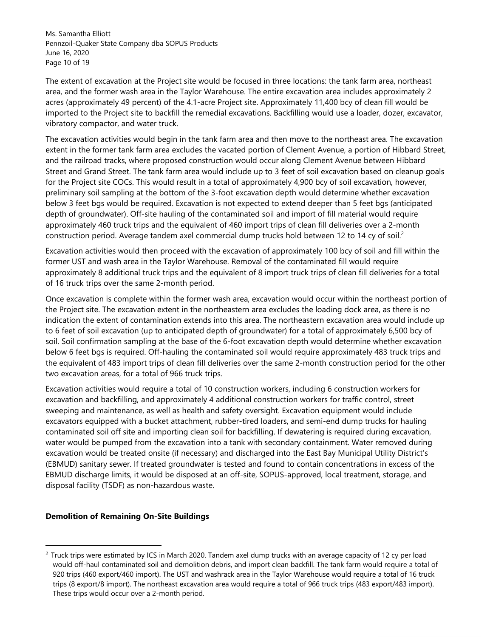Ms. Samantha Elliott Pennzoil-Quaker State Company dba SOPUS Products June 16, 2020 Page 10 of 19

The extent of excavation at the Project site would be focused in three locations: the tank farm area, northeast area, and the former wash area in the Taylor Warehouse. The entire excavation area includes approximately 2 acres (approximately 49 percent) of the 4.1-acre Project site. Approximately 11,400 bcy of clean fill would be imported to the Project site to backfill the remedial excavations. Backfilling would use a loader, dozer, excavator, vibratory compactor, and water truck.

The excavation activities would begin in the tank farm area and then move to the northeast area. The excavation extent in the former tank farm area excludes the vacated portion of Clement Avenue, a portion of Hibbard Street, and the railroad tracks, where proposed construction would occur along Clement Avenue between Hibbard Street and Grand Street. The tank farm area would include up to 3 feet of soil excavation based on cleanup goals for the Project site COCs. This would result in a total of approximately 4,900 bcy of soil excavation, however, preliminary soil sampling at the bottom of the 3-foot excavation depth would determine whether excavation below 3 feet bgs would be required. Excavation is not expected to extend deeper than 5 feet bgs (anticipated depth of groundwater). Off-site hauling of the contaminated soil and import of fill material would require approximately 460 truck trips and the equivalent of 460 import trips of clean fill deliveries over a 2-month construction period. Average tandem axel commercial dump trucks hold between 12 to 14 cy of soil.<sup>2</sup>

Excavation activities would then proceed with the excavation of approximately 100 bcy of soil and fill within the former UST and wash area in the Taylor Warehouse. Removal of the contaminated fill would require approximately 8 additional truck trips and the equivalent of 8 import truck trips of clean fill deliveries for a total of 16 truck trips over the same 2-month period.

Once excavation is complete within the former wash area, excavation would occur within the northeast portion of the Project site. The excavation extent in the northeastern area excludes the loading dock area, as there is no indication the extent of contamination extends into this area. The northeastern excavation area would include up to 6 feet of soil excavation (up to anticipated depth of groundwater) for a total of approximately 6,500 bcy of soil. Soil confirmation sampling at the base of the 6-foot excavation depth would determine whether excavation below 6 feet bgs is required. Off-hauling the contaminated soil would require approximately 483 truck trips and the equivalent of 483 import trips of clean fill deliveries over the same 2-month construction period for the other two excavation areas, for a total of 966 truck trips.

Excavation activities would require a total of 10 construction workers, including 6 construction workers for excavation and backfilling, and approximately 4 additional construction workers for traffic control, street sweeping and maintenance, as well as health and safety oversight. Excavation equipment would include excavators equipped with a bucket attachment, rubber-tired loaders, and semi-end dump trucks for hauling contaminated soil off site and importing clean soil for backfilling. If dewatering is required during excavation, water would be pumped from the excavation into a tank with secondary containment. Water removed during excavation would be treated onsite (if necessary) and discharged into the East Bay Municipal Utility District's (EBMUD) sanitary sewer. If treated groundwater is tested and found to contain concentrations in excess of the EBMUD discharge limits, it would be disposed at an off-site, SOPUS-approved, local treatment, storage, and disposal facility (TSDF) as non-hazardous waste.

#### **Demolition of Remaining On-Site Buildings**

<sup>&</sup>lt;sup>2</sup> Truck trips were estimated by ICS in March 2020. Tandem axel dump trucks with an average capacity of 12 cy per load would off-haul contaminated soil and demolition debris, and import clean backfill. The tank farm would require a total of 920 trips (460 export/460 import). The UST and washrack area in the Taylor Warehouse would require a total of 16 truck trips (8 export/8 import). The northeast excavation area would require a total of 966 truck trips (483 export/483 import). These trips would occur over a 2-month period.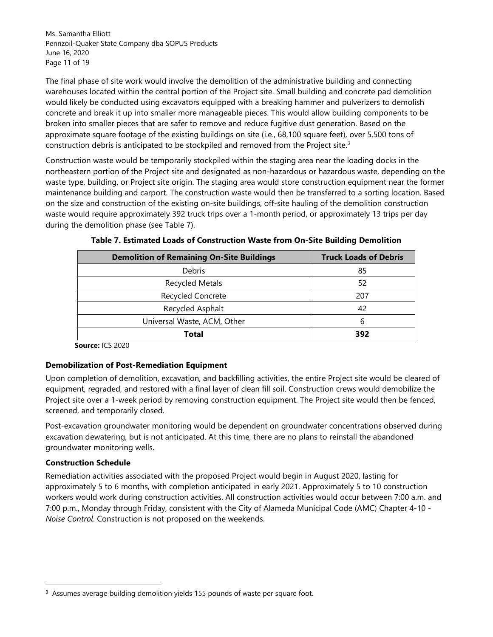Ms. Samantha Elliott Pennzoil-Quaker State Company dba SOPUS Products June 16, 2020 Page 11 of 19

The final phase of site work would involve the demolition of the administrative building and connecting warehouses located within the central portion of the Project site. Small building and concrete pad demolition would likely be conducted using excavators equipped with a breaking hammer and pulverizers to demolish concrete and break it up into smaller more manageable pieces. This would allow building components to be broken into smaller pieces that are safer to remove and reduce fugitive dust generation. Based on the approximate square footage of the existing buildings on site (i.e., 68,100 square feet), over 5,500 tons of construction debris is anticipated to be stockpiled and removed from the Project site. $3$ 

Construction waste would be temporarily stockpiled within the staging area near the loading docks in the northeastern portion of the Project site and designated as non-hazardous or hazardous waste, depending on the waste type, building, or Project site origin. The staging area would store construction equipment near the former maintenance building and carport. The construction waste would then be transferred to a sorting location. Based on the size and construction of the existing on-site buildings, off-site hauling of the demolition construction waste would require approximately 392 truck trips over a 1-month period, or approximately 13 trips per day during the demolition phase (see Table 7).

| <b>Demolition of Remaining On-Site Buildings</b> | <b>Truck Loads of Debris</b> |
|--------------------------------------------------|------------------------------|
| <b>Debris</b>                                    | 85                           |
| <b>Recycled Metals</b>                           | 52                           |
| <b>Recycled Concrete</b>                         | 207                          |
| Recycled Asphalt                                 | 42                           |
| Universal Waste, ACM, Other                      | 6                            |
| Total                                            | 392                          |

| Table 7. Estimated Loads of Construction Waste from On-Site Building Demolition |  |  |
|---------------------------------------------------------------------------------|--|--|
|---------------------------------------------------------------------------------|--|--|

 **Source:** ICS 2020

#### **Demobilization of Post-Remediation Equipment**

Upon completion of demolition, excavation, and backfilling activities, the entire Project site would be cleared of equipment, regraded, and restored with a final layer of clean fill soil. Construction crews would demobilize the Project site over a 1-week period by removing construction equipment. The Project site would then be fenced, screened, and temporarily closed.

Post-excavation groundwater monitoring would be dependent on groundwater concentrations observed during excavation dewatering, but is not anticipated. At this time, there are no plans to reinstall the abandoned groundwater monitoring wells.

#### **Construction Schedule**

Remediation activities associated with the proposed Project would begin in August 2020, lasting for approximately 5 to 6 months, with completion anticipated in early 2021. Approximately 5 to 10 construction workers would work during construction activities. All construction activities would occur between 7:00 a.m. and 7:00 p.m., Monday through Friday, consistent with the City of Alameda Municipal Code (AMC) Chapter 4-10 - *Noise Control*. Construction is not proposed on the weekends.

<sup>&</sup>lt;sup>3</sup> Assumes average building demolition yields 155 pounds of waste per square foot.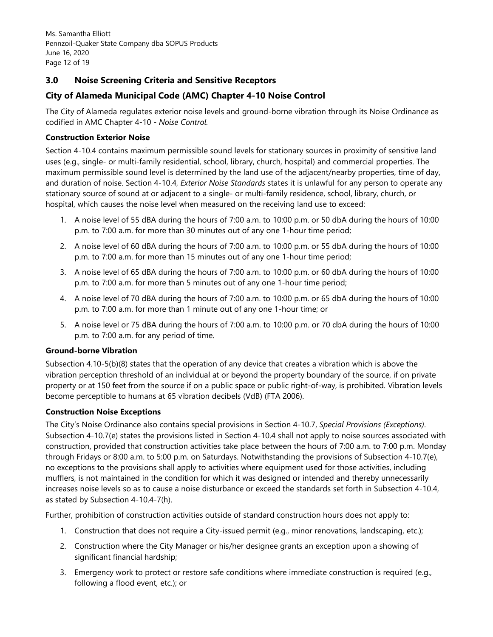Ms. Samantha Elliott Pennzoil-Quaker State Company dba SOPUS Products June 16, 2020 Page 12 of 19

## **3.0 Noise Screening Criteria and Sensitive Receptors**

# **City of Alameda Municipal Code (AMC) Chapter 4-10 Noise Control**

The City of Alameda regulates exterior noise levels and ground-borne vibration through its Noise Ordinance as codified in AMC Chapter 4-10 - *Noise Control.* 

## **Construction Exterior Noise**

Section 4-10.4 contains maximum permissible sound levels for stationary sources in proximity of sensitive land uses (e.g., single- or multi-family residential, school, library, church, hospital) and commercial properties. The maximum permissible sound level is determined by the land use of the adjacent/nearby properties, time of day, and duration of noise. Section 4-10.4, *Exterior Noise Standards* states it is unlawful for any person to operate any stationary source of sound at or adjacent to a single- or multi-family residence, school, library, church, or hospital, which causes the noise level when measured on the receiving land use to exceed:

- 1. A noise level of 55 dBA during the hours of 7:00 a.m. to 10:00 p.m. or 50 dbA during the hours of 10:00 p.m. to 7:00 a.m. for more than 30 minutes out of any one 1-hour time period;
- 2. A noise level of 60 dBA during the hours of 7:00 a.m. to 10:00 p.m. or 55 dbA during the hours of 10:00 p.m. to 7:00 a.m. for more than 15 minutes out of any one 1-hour time period;
- 3. A noise level of 65 dBA during the hours of 7:00 a.m. to 10:00 p.m. or 60 dbA during the hours of 10:00 p.m. to 7:00 a.m. for more than 5 minutes out of any one 1-hour time period;
- 4. A noise level of 70 dBA during the hours of 7:00 a.m. to 10:00 p.m. or 65 dbA during the hours of 10:00 p.m. to 7:00 a.m. for more than 1 minute out of any one 1-hour time; or
- 5. A noise level or 75 dBA during the hours of 7:00 a.m. to 10:00 p.m. or 70 dbA during the hours of 10:00 p.m. to 7:00 a.m. for any period of time.

#### **Ground-borne Vibration**

Subsection 4.10-5(b)(8) states that the operation of any device that creates a vibration which is above the vibration perception threshold of an individual at or beyond the property boundary of the source, if on private property or at 150 feet from the source if on a public space or public right-of-way, is prohibited. Vibration levels become perceptible to humans at 65 vibration decibels (VdB) (FTA 2006).

## **Construction Noise Exceptions**

The City's Noise Ordinance also contains special provisions in Section 4-10.7, *Special Provisions (Exceptions)*. Subsection 4-10.7(e) states the provisions listed in Section 4-10.4 shall not apply to noise sources associated with construction, provided that construction activities take place between the hours of 7:00 a.m. to 7:00 p.m. Monday through Fridays or 8:00 a.m. to 5:00 p.m. on Saturdays. Notwithstanding the provisions of Subsection 4-10.7(e), no exceptions to the provisions shall apply to activities where equipment used for those activities, including mufflers, is not maintained in the condition for which it was designed or intended and thereby unnecessarily increases noise levels so as to cause a noise disturbance or exceed the standards set forth in Subsection 4-10.4, as stated by Subsection 4-10.4-7(h).

Further, prohibition of construction activities outside of standard construction hours does not apply to:

- 1. Construction that does not require a City-issued permit (e.g., minor renovations, landscaping, etc.);
- 2. Construction where the City Manager or his/her designee grants an exception upon a showing of significant financial hardship;
- 3. Emergency work to protect or restore safe conditions where immediate construction is required (e.g., following a flood event, etc.); or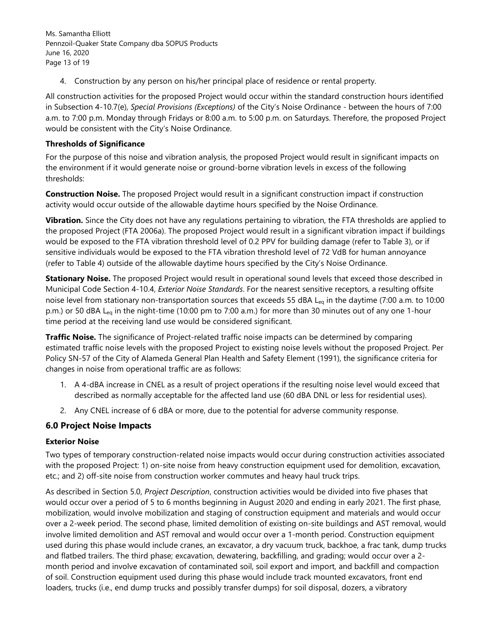Ms. Samantha Elliott Pennzoil-Quaker State Company dba SOPUS Products June 16, 2020 Page 13 of 19

4. Construction by any person on his/her principal place of residence or rental property.

All construction activities for the proposed Project would occur within the standard construction hours identified in Subsection 4-10.7(e), *Special Provisions (Exceptions)* of the City's Noise Ordinance - between the hours of 7:00 a.m. to 7:00 p.m. Monday through Fridays or 8:00 a.m. to 5:00 p.m. on Saturdays. Therefore, the proposed Project would be consistent with the City's Noise Ordinance.

### **Thresholds of Significance**

For the purpose of this noise and vibration analysis, the proposed Project would result in significant impacts on the environment if it would generate noise or ground-borne vibration levels in excess of the following thresholds:

**Construction Noise.** The proposed Project would result in a significant construction impact if construction activity would occur outside of the allowable daytime hours specified by the Noise Ordinance.

**Vibration.** Since the City does not have any regulations pertaining to vibration, the FTA thresholds are applied to the proposed Project (FTA 2006a). The proposed Project would result in a significant vibration impact if buildings would be exposed to the FTA vibration threshold level of 0.2 PPV for building damage (refer to Table 3), or if sensitive individuals would be exposed to the FTA vibration threshold level of 72 VdB for human annoyance (refer to Table 4) outside of the allowable daytime hours specified by the City's Noise Ordinance.

**Stationary Noise.** The proposed Project would result in operational sound levels that exceed those described in Municipal Code Section 4-10.4, *Exterior Noise Standards*. For the nearest sensitive receptors, a resulting offsite noise level from stationary non-transportation sources that exceeds 55 dBA L<sub>eq</sub> in the daytime (7:00 a.m. to 10:00 p.m.) or 50 dBA L<sub>eg</sub> in the night-time (10:00 pm to 7:00 a.m.) for more than 30 minutes out of any one 1-hour time period at the receiving land use would be considered significant.

**Traffic Noise.** The significance of Project-related traffic noise impacts can be determined by comparing estimated traffic noise levels with the proposed Project to existing noise levels without the proposed Project. Per Policy SN-57 of the City of Alameda General Plan Health and Safety Element (1991), the significance criteria for changes in noise from operational traffic are as follows:

- 1. A 4-dBA increase in CNEL as a result of project operations if the resulting noise level would exceed that described as normally acceptable for the affected land use (60 dBA DNL or less for residential uses).
- 2. Any CNEL increase of 6 dBA or more, due to the potential for adverse community response.

## **6.0 Project Noise Impacts**

#### **Exterior Noise**

Two types of temporary construction-related noise impacts would occur during construction activities associated with the proposed Project: 1) on-site noise from heavy construction equipment used for demolition, excavation, etc.; and 2) off-site noise from construction worker commutes and heavy haul truck trips.

As described in Section 5.0, *Project Description*, construction activities would be divided into five phases that would occur over a period of 5 to 6 months beginning in August 2020 and ending in early 2021. The first phase, mobilization, would involve mobilization and staging of construction equipment and materials and would occur over a 2-week period. The second phase, limited demolition of existing on-site buildings and AST removal, would involve limited demolition and AST removal and would occur over a 1-month period. Construction equipment used during this phase would include cranes, an excavator, a dry vacuum truck, backhoe, a frac tank, dump trucks and flatbed trailers. The third phase; excavation, dewatering, backfilling, and grading; would occur over a 2 month period and involve excavation of contaminated soil, soil export and import, and backfill and compaction of soil. Construction equipment used during this phase would include track mounted excavators, front end loaders, trucks (i.e., end dump trucks and possibly transfer dumps) for soil disposal, dozers, a vibratory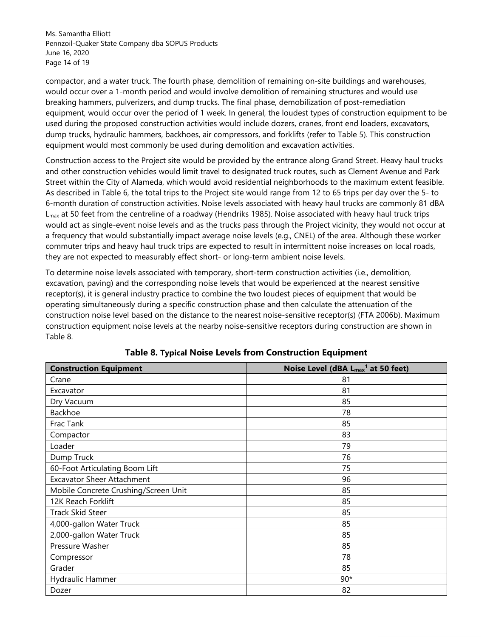Ms. Samantha Elliott Pennzoil-Quaker State Company dba SOPUS Products June 16, 2020 Page 14 of 19

compactor, and a water truck. The fourth phase, demolition of remaining on-site buildings and warehouses, would occur over a 1-month period and would involve demolition of remaining structures and would use breaking hammers, pulverizers, and dump trucks. The final phase, demobilization of post-remediation equipment, would occur over the period of 1 week. In general, the loudest types of construction equipment to be used during the proposed construction activities would include dozers, cranes, front end loaders, excavators, dump trucks, hydraulic hammers, backhoes, air compressors, and forklifts (refer to Table 5). This construction equipment would most commonly be used during demolition and excavation activities.

Construction access to the Project site would be provided by the entrance along Grand Street. Heavy haul trucks and other construction vehicles would limit travel to designated truck routes, such as Clement Avenue and Park Street within the City of Alameda, which would avoid residential neighborhoods to the maximum extent feasible. As described in Table 6, the total trips to the Project site would range from 12 to 65 trips per day over the 5- to 6-month duration of construction activities. Noise levels associated with heavy haul trucks are commonly 81 dBA  $L_{\text{max}}$  at 50 feet from the centreline of a roadway (Hendriks 1985). Noise associated with heavy haul truck trips would act as single-event noise levels and as the trucks pass through the Project vicinity, they would not occur at a frequency that would substantially impact average noise levels (e.g., CNEL) of the area. Although these worker commuter trips and heavy haul truck trips are expected to result in intermittent noise increases on local roads, they are not expected to measurably effect short- or long-term ambient noise levels.

To determine noise levels associated with temporary, short-term construction activities (i.e., demolition, excavation, paving) and the corresponding noise levels that would be experienced at the nearest sensitive receptor(s), it is general industry practice to combine the two loudest pieces of equipment that would be operating simultaneously during a specific construction phase and then calculate the attenuation of the construction noise level based on the distance to the nearest noise-sensitive receptor(s) (FTA 2006b). Maximum construction equipment noise levels at the nearby noise-sensitive receptors during construction are shown in Table 8.

| <b>Construction Equipment</b>        | Noise Level (dBA L <sub>max</sub> <sup>1</sup> at 50 feet) |  |  |
|--------------------------------------|------------------------------------------------------------|--|--|
| Crane                                | 81                                                         |  |  |
| Excavator                            | 81                                                         |  |  |
| Dry Vacuum                           | 85                                                         |  |  |
| Backhoe                              | 78                                                         |  |  |
| Frac Tank                            | 85                                                         |  |  |
| Compactor                            | 83                                                         |  |  |
| Loader                               | 79                                                         |  |  |
| Dump Truck                           | 76                                                         |  |  |
| 60-Foot Articulating Boom Lift       | 75                                                         |  |  |
| <b>Excavator Sheer Attachment</b>    | 96                                                         |  |  |
| Mobile Concrete Crushing/Screen Unit | 85                                                         |  |  |
| 12K Reach Forklift                   | 85                                                         |  |  |
| <b>Track Skid Steer</b>              | 85                                                         |  |  |
| 4,000-gallon Water Truck             | 85                                                         |  |  |
| 2,000-gallon Water Truck             | 85                                                         |  |  |
| Pressure Washer                      | 85                                                         |  |  |
| Compressor                           | 78                                                         |  |  |
| Grader                               | 85                                                         |  |  |
| Hydraulic Hammer                     | $90*$                                                      |  |  |
| Dozer                                | 82                                                         |  |  |

**Table 8. Typical Noise Levels from Construction Equipment**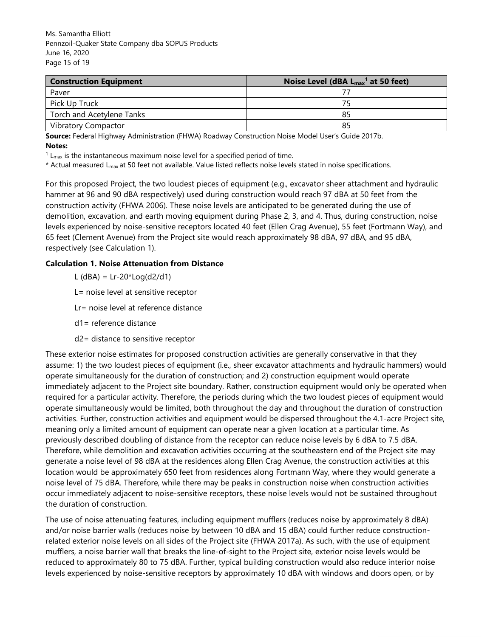Ms. Samantha Elliott Pennzoil-Quaker State Company dba SOPUS Products June 16, 2020 Page 15 of 19

| <b>Construction Equipment</b> | Noise Level (dBA $L_{max}$ <sup>1</sup> at 50 feet) |  |  |
|-------------------------------|-----------------------------------------------------|--|--|
| Paver                         |                                                     |  |  |
| Pick Up Truck                 |                                                     |  |  |
| Torch and Acetylene Tanks     | 85                                                  |  |  |
| <b>Vibratory Compactor</b>    | 85                                                  |  |  |

**Source:** Federal Highway Administration (FHWA) Roadway Construction Noise Model User's Guide 2017b. **Notes:** 

 $1$  L<sub>max</sub> is the instantaneous maximum noise level for a specified period of time.

\* Actual measured Lmax at 50 feet not available. Value listed reflects noise levels stated in noise specifications.

For this proposed Project, the two loudest pieces of equipment (e.g., excavator sheer attachment and hydraulic hammer at 96 and 90 dBA respectively) used during construction would reach 97 dBA at 50 feet from the construction activity (FHWA 2006). These noise levels are anticipated to be generated during the use of demolition, excavation, and earth moving equipment during Phase 2, 3, and 4. Thus, during construction, noise levels experienced by noise-sensitive receptors located 40 feet (Ellen Crag Avenue), 55 feet (Fortmann Way), and 65 feet (Clement Avenue) from the Project site would reach approximately 98 dBA, 97 dBA, and 95 dBA, respectively (see Calculation 1).

### **Calculation 1. Noise Attenuation from Distance**

L ( $dBA$ ) = Lr-20\*Log( $d2/d1$ )

L= noise level at sensitive receptor

Lr= noise level at reference distance

- d1= reference distance
- d2= distance to sensitive receptor

These exterior noise estimates for proposed construction activities are generally conservative in that they assume: 1) the two loudest pieces of equipment (i.e., sheer excavator attachments and hydraulic hammers) would operate simultaneously for the duration of construction; and 2) construction equipment would operate immediately adjacent to the Project site boundary. Rather, construction equipment would only be operated when required for a particular activity. Therefore, the periods during which the two loudest pieces of equipment would operate simultaneously would be limited, both throughout the day and throughout the duration of construction activities. Further, construction activities and equipment would be dispersed throughout the 4.1-acre Project site, meaning only a limited amount of equipment can operate near a given location at a particular time. As previously described doubling of distance from the receptor can reduce noise levels by 6 dBA to 7.5 dBA. Therefore, while demolition and excavation activities occurring at the southeastern end of the Project site may generate a noise level of 98 dBA at the residences along Ellen Crag Avenue, the construction activities at this location would be approximately 650 feet from residences along Fortmann Way, where they would generate a noise level of 75 dBA. Therefore, while there may be peaks in construction noise when construction activities occur immediately adjacent to noise-sensitive receptors, these noise levels would not be sustained throughout the duration of construction.

The use of noise attenuating features, including equipment mufflers (reduces noise by approximately 8 dBA) and/or noise barrier walls (reduces noise by between 10 dBA and 15 dBA) could further reduce constructionrelated exterior noise levels on all sides of the Project site (FHWA 2017a). As such, with the use of equipment mufflers, a noise barrier wall that breaks the line-of-sight to the Project site, exterior noise levels would be reduced to approximately 80 to 75 dBA. Further, typical building construction would also reduce interior noise levels experienced by noise-sensitive receptors by approximately 10 dBA with windows and doors open, or by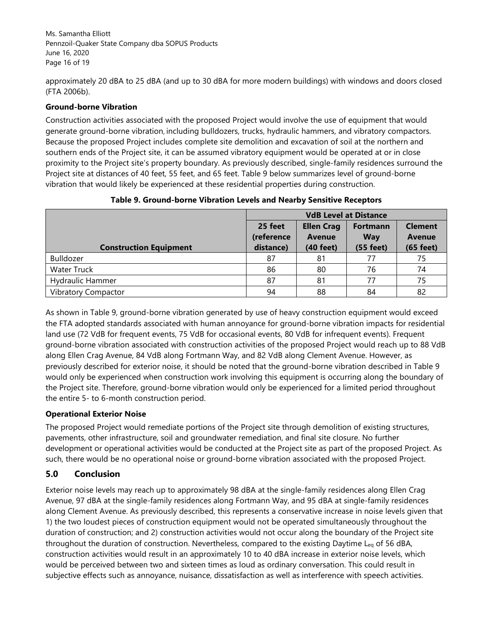Ms. Samantha Elliott Pennzoil-Quaker State Company dba SOPUS Products June 16, 2020 Page 16 of 19

approximately 20 dBA to 25 dBA (and up to 30 dBA for more modern buildings) with windows and doors closed (FTA 2006b).

### **Ground-borne Vibration**

Construction activities associated with the proposed Project would involve the use of equipment that would generate ground-borne vibration, including bulldozers, trucks, hydraulic hammers, and vibratory compactors. Because the proposed Project includes complete site demolition and excavation of soil at the northern and southern ends of the Project site, it can be assumed vibratory equipment would be operated at or in close proximity to the Project site's property boundary. As previously described, single-family residences surround the Project site at distances of 40 feet, 55 feet, and 65 feet. Table 9 below summarizes level of ground-borne vibration that would likely be experienced at these residential properties during construction.

|                               | <b>VdB Level at Distance</b> |                                    |                               |                                 |
|-------------------------------|------------------------------|------------------------------------|-------------------------------|---------------------------------|
|                               | 25 feet<br>(reference        | <b>Ellen Crag</b><br><b>Avenue</b> | <b>Fortmann</b><br><b>Way</b> | <b>Clement</b><br><b>Avenue</b> |
| <b>Construction Equipment</b> | distance)                    | $(40$ feet)                        | $(55$ feet)                   | $(65$ feet)                     |
| Bulldozer                     | 87                           | 81                                 | 77                            | 75                              |
| <b>Water Truck</b>            | 86                           | 80                                 | 76                            | 74                              |
| Hydraulic Hammer              | 87                           | 81                                 | 77                            | 75                              |
| <b>Vibratory Compactor</b>    | 94                           | 88                                 | 84                            | 82                              |

**Table 9. Ground-borne Vibration Levels and Nearby Sensitive Receptors** 

As shown in Table 9, ground-borne vibration generated by use of heavy construction equipment would exceed the FTA adopted standards associated with human annoyance for ground-borne vibration impacts for residential land use (72 VdB for frequent events, 75 VdB for occasional events, 80 VdB for infrequent events). Frequent ground-borne vibration associated with construction activities of the proposed Project would reach up to 88 VdB along Ellen Crag Avenue, 84 VdB along Fortmann Way, and 82 VdB along Clement Avenue. However, as previously described for exterior noise, it should be noted that the ground-borne vibration described in Table 9 would only be experienced when construction work involving this equipment is occurring along the boundary of the Project site. Therefore, ground-borne vibration would only be experienced for a limited period throughout the entire 5- to 6-month construction period.

## **Operational Exterior Noise**

The proposed Project would remediate portions of the Project site through demolition of existing structures, pavements, other infrastructure, soil and groundwater remediation, and final site closure. No further development or operational activities would be conducted at the Project site as part of the proposed Project. As such, there would be no operational noise or ground-borne vibration associated with the proposed Project.

# **5.0 Conclusion**

Exterior noise levels may reach up to approximately 98 dBA at the single-family residences along Ellen Crag Avenue, 97 dBA at the single-family residences along Fortmann Way, and 95 dBA at single-family residences along Clement Avenue. As previously described, this represents a conservative increase in noise levels given that 1) the two loudest pieces of construction equipment would not be operated simultaneously throughout the duration of construction; and 2) construction activities would not occur along the boundary of the Project site throughout the duration of construction. Nevertheless, compared to the existing Daytime Leq of 56 dBA, construction activities would result in an approximately 10 to 40 dBA increase in exterior noise levels, which would be perceived between two and sixteen times as loud as ordinary conversation. This could result in subjective effects such as annoyance, nuisance, dissatisfaction as well as interference with speech activities.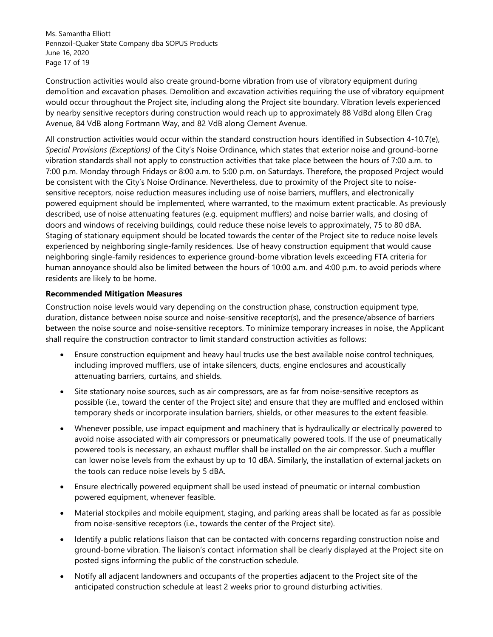Ms. Samantha Elliott Pennzoil-Quaker State Company dba SOPUS Products June 16, 2020 Page 17 of 19

Construction activities would also create ground-borne vibration from use of vibratory equipment during demolition and excavation phases. Demolition and excavation activities requiring the use of vibratory equipment would occur throughout the Project site, including along the Project site boundary. Vibration levels experienced by nearby sensitive receptors during construction would reach up to approximately 88 VdBd along Ellen Crag Avenue, 84 VdB along Fortmann Way, and 82 VdB along Clement Avenue.

All construction activities would occur within the standard construction hours identified in Subsection 4-10.7(e), *Special Provisions (Exceptions)* of the City's Noise Ordinance, which states that exterior noise and ground-borne vibration standards shall not apply to construction activities that take place between the hours of 7:00 a.m. to 7:00 p.m. Monday through Fridays or 8:00 a.m. to 5:00 p.m. on Saturdays. Therefore, the proposed Project would be consistent with the City's Noise Ordinance. Nevertheless, due to proximity of the Project site to noisesensitive receptors, noise reduction measures including use of noise barriers, mufflers, and electronically powered equipment should be implemented, where warranted, to the maximum extent practicable. As previously described, use of noise attenuating features (e.g. equipment mufflers) and noise barrier walls, and closing of doors and windows of receiving buildings, could reduce these noise levels to approximately, 75 to 80 dBA. Staging of stationary equipment should be located towards the center of the Project site to reduce noise levels experienced by neighboring single-family residences. Use of heavy construction equipment that would cause neighboring single-family residences to experience ground-borne vibration levels exceeding FTA criteria for human annoyance should also be limited between the hours of 10:00 a.m. and 4:00 p.m. to avoid periods where residents are likely to be home.

#### **Recommended Mitigation Measures**

Construction noise levels would vary depending on the construction phase, construction equipment type, duration, distance between noise source and noise-sensitive receptor(s), and the presence/absence of barriers between the noise source and noise-sensitive receptors. To minimize temporary increases in noise, the Applicant shall require the construction contractor to limit standard construction activities as follows:

- Ensure construction equipment and heavy haul trucks use the best available noise control techniques, including improved mufflers, use of intake silencers, ducts, engine enclosures and acoustically attenuating barriers, curtains, and shields.
- Site stationary noise sources, such as air compressors, are as far from noise-sensitive receptors as possible (i.e., toward the center of the Project site) and ensure that they are muffled and enclosed within temporary sheds or incorporate insulation barriers, shields, or other measures to the extent feasible.
- Whenever possible, use impact equipment and machinery that is hydraulically or electrically powered to avoid noise associated with air compressors or pneumatically powered tools. If the use of pneumatically powered tools is necessary, an exhaust muffler shall be installed on the air compressor. Such a muffler can lower noise levels from the exhaust by up to 10 dBA. Similarly, the installation of external jackets on the tools can reduce noise levels by 5 dBA.
- Ensure electrically powered equipment shall be used instead of pneumatic or internal combustion powered equipment, whenever feasible.
- Material stockpiles and mobile equipment, staging, and parking areas shall be located as far as possible from noise-sensitive receptors (i.e., towards the center of the Project site).
- Identify a public relations liaison that can be contacted with concerns regarding construction noise and ground-borne vibration. The liaison's contact information shall be clearly displayed at the Project site on posted signs informing the public of the construction schedule.
- Notify all adjacent landowners and occupants of the properties adjacent to the Project site of the anticipated construction schedule at least 2 weeks prior to ground disturbing activities.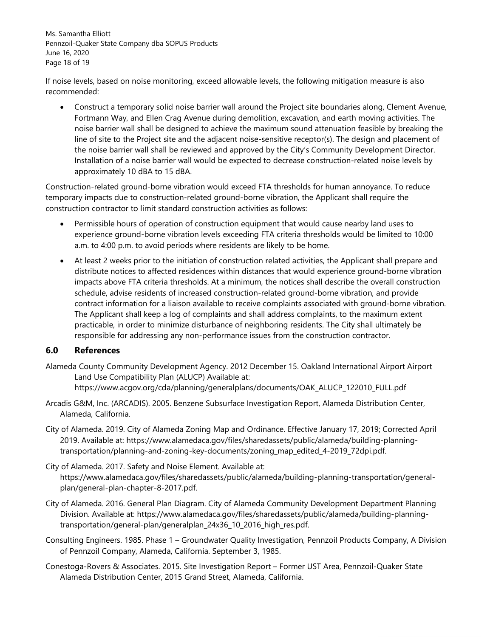Ms. Samantha Elliott Pennzoil-Quaker State Company dba SOPUS Products June 16, 2020 Page 18 of 19

If noise levels, based on noise monitoring, exceed allowable levels, the following mitigation measure is also recommended:

 Construct a temporary solid noise barrier wall around the Project site boundaries along, Clement Avenue, Fortmann Way, and Ellen Crag Avenue during demolition, excavation, and earth moving activities. The noise barrier wall shall be designed to achieve the maximum sound attenuation feasible by breaking the line of site to the Project site and the adjacent noise-sensitive receptor(s). The design and placement of the noise barrier wall shall be reviewed and approved by the City's Community Development Director. Installation of a noise barrier wall would be expected to decrease construction-related noise levels by approximately 10 dBA to 15 dBA.

Construction-related ground-borne vibration would exceed FTA thresholds for human annoyance. To reduce temporary impacts due to construction-related ground-borne vibration, the Applicant shall require the construction contractor to limit standard construction activities as follows:

- Permissible hours of operation of construction equipment that would cause nearby land uses to experience ground-borne vibration levels exceeding FTA criteria thresholds would be limited to 10:00 a.m. to 4:00 p.m. to avoid periods where residents are likely to be home.
- At least 2 weeks prior to the initiation of construction related activities, the Applicant shall prepare and distribute notices to affected residences within distances that would experience ground-borne vibration impacts above FTA criteria thresholds. At a minimum, the notices shall describe the overall construction schedule, advise residents of increased construction-related ground-borne vibration, and provide contract information for a liaison available to receive complaints associated with ground-borne vibration. The Applicant shall keep a log of complaints and shall address complaints, to the maximum extent practicable, in order to minimize disturbance of neighboring residents. The City shall ultimately be responsible for addressing any non-performance issues from the construction contractor.

## **6.0 References**

- Alameda County Community Development Agency. 2012 December 15. Oakland International Airport Airport Land Use Compatibility Plan (ALUCP) Available at: https://www.acgov.org/cda/planning/generalplans/documents/OAK\_ALUCP\_122010\_FULL.pdf
- Arcadis G&M, Inc. (ARCADIS). 2005. Benzene Subsurface Investigation Report, Alameda Distribution Center, Alameda, California.
- City of Alameda. 2019. City of Alameda Zoning Map and Ordinance. Effective January 17, 2019; Corrected April 2019. Available at: https://www.alamedaca.gov/files/sharedassets/public/alameda/building-planningtransportation/planning-and-zoning-key-documents/zoning\_map\_edited\_4-2019\_72dpi.pdf.
- City of Alameda. 2017. Safety and Noise Element. Available at: https://www.alamedaca.gov/files/sharedassets/public/alameda/building-planning-transportation/generalplan/general-plan-chapter-8-2017.pdf.
- City of Alameda. 2016. General Plan Diagram. City of Alameda Community Development Department Planning Division. Available at: https://www.alamedaca.gov/files/sharedassets/public/alameda/building-planningtransportation/general-plan/generalplan\_24x36\_10\_2016\_high\_res.pdf.
- Consulting Engineers. 1985. Phase 1 Groundwater Quality Investigation, Pennzoil Products Company, A Division of Pennzoil Company, Alameda, California. September 3, 1985.
- Conestoga-Rovers & Associates. 2015. Site Investigation Report Former UST Area, Pennzoil-Quaker State Alameda Distribution Center, 2015 Grand Street, Alameda, California.